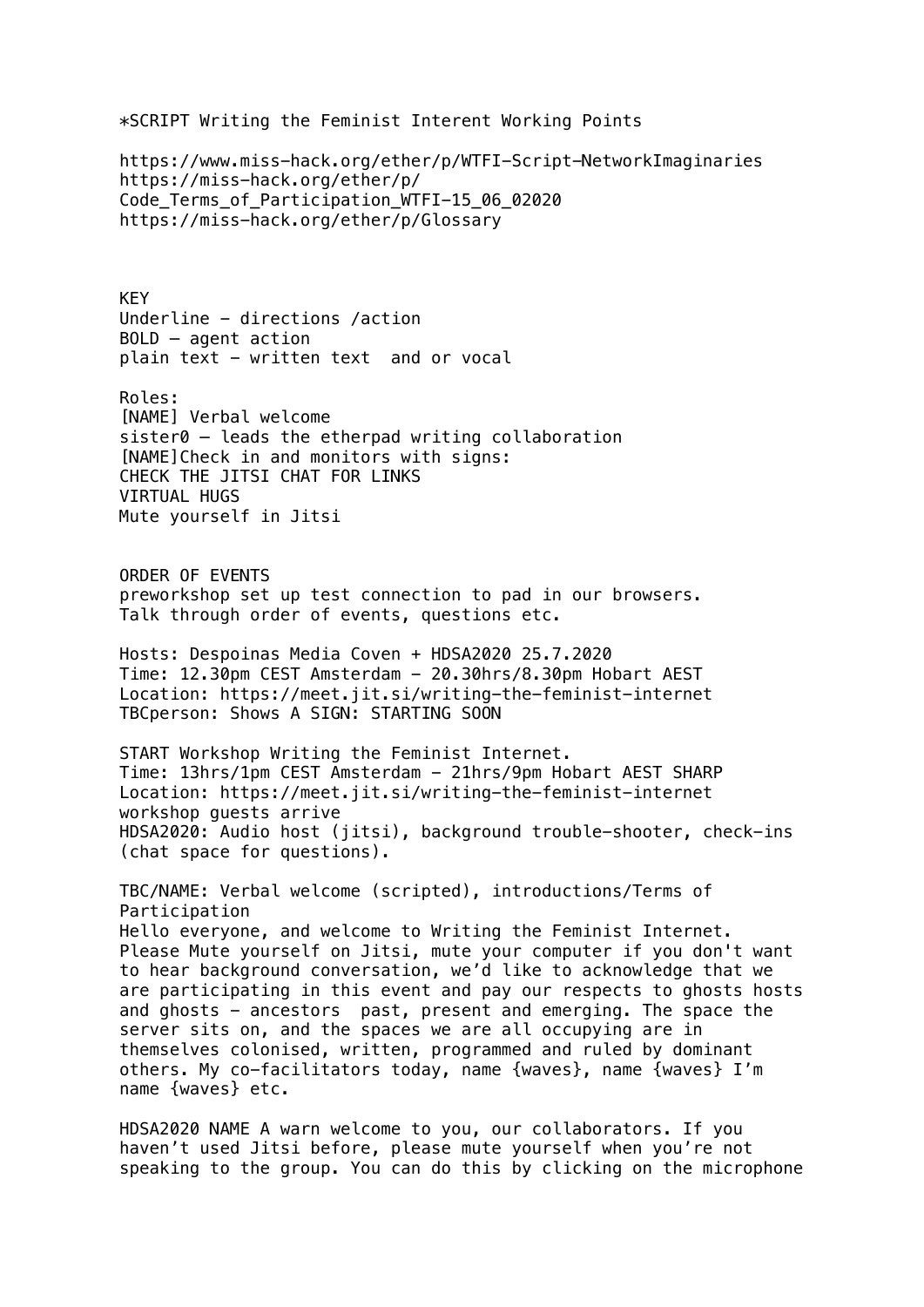\*SCRIPT Writing the Feminist Interent Working Points

https://www.miss-hack.org/ether/p/WTFI-Script-NetworkImaginaries https://miss-hack.org/ether/p/ Code Terms of Participation WTFI-15 06 02020 https://miss-hack.org/ether/p/Glossary

KEY Underline - directions /action BOLD – agent action plain text - written text and or vocal

Roles: [NAME] Verbal welcome sister0 – leads the etherpad writing collaboration [NAME]Check in and monitors with signs: CHECK THE JITSI CHAT FOR LINKS VIRTUAL HUGS Mute yourself in Jitsi

ORDER OF EVENTS preworkshop set up test connection to pad in our browsers. Talk through order of events, questions etc.

Hosts: Despoinas Media Coven + HDSA2020 25.7.2020 Time: 12.30pm CEST Amsterdam - 20.30hrs/8.30pm Hobart AEST Location: https://meet.jit.si/writing-the-feminist-internet TBCperson: Shows A SIGN: STARTING SOON

START Workshop Writing the Feminist Internet. Time: 13hrs/1pm CEST Amsterdam - 21hrs/9pm Hobart AEST SHARP Location: https://meet.jit.si/writing-the-feminist-internet workshop guests arrive HDSA2020: Audio host (jitsi), background trouble-shooter, check-ins (chat space for questions).

TBC/NAME: Verbal welcome (scripted), introductions/Terms of Participation Hello everyone, and welcome to Writing the Feminist Internet. Please Mute yourself on Jitsi, mute your computer if you don't want to hear background conversation, we'd like to acknowledge that we are participating in this event and pay our respects to ghosts hosts and ghosts - ancestors past, present and emerging. The space the server sits on, and the spaces we are all occupying are in themselves colonised, written, programmed and ruled by dominant others. My co-facilitators today, name {waves}, name {waves} I'm name {waves} etc.

HDSA2020 NAME A warn welcome to you, our collaborators. If you haven't used Jitsi before, please mute yourself when you're not speaking to the group. You can do this by clicking on the microphone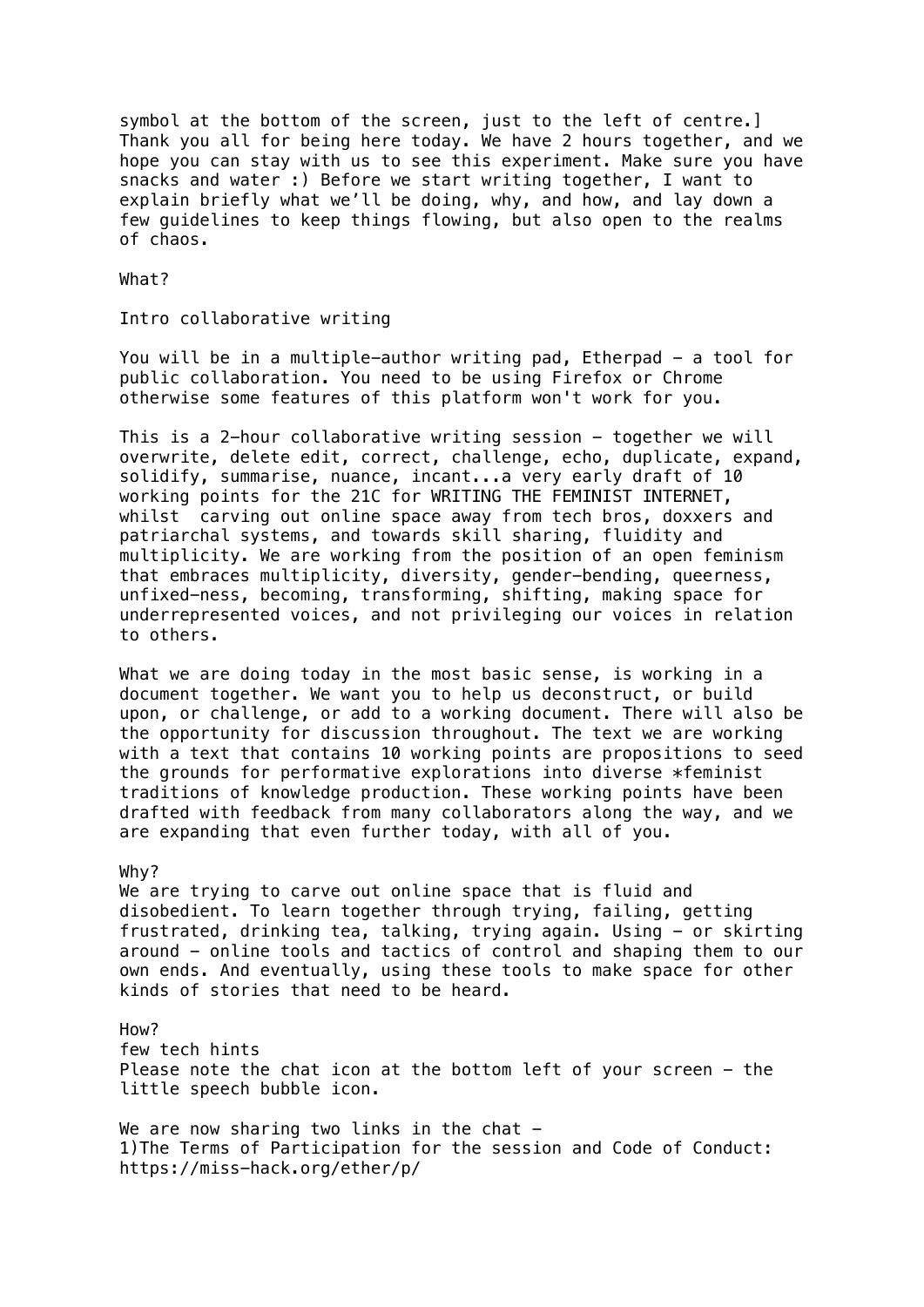symbol at the bottom of the screen, just to the left of centre.] Thank you all for being here today. We have 2 hours together, and we hope you can stay with us to see this experiment. Make sure you have snacks and water :) Before we start writing together, I want to explain briefly what we'll be doing, why, and how, and lay down a few guidelines to keep things flowing, but also open to the realms of chaos.

What?

Intro collaborative writing

You will be in a multiple-author writing pad, Etherpad - a tool for public collaboration. You need to be using Firefox or Chrome otherwise some features of this platform won't work for you.

This is a 2-hour collaborative writing session - together we will overwrite, delete edit, correct, challenge, echo, duplicate, expand, solidify, summarise, nuance, incant...a very early draft of 10 working points for the 21C for WRITING THE FEMINIST INTERNET, whilst carving out online space away from tech bros, doxxers and patriarchal systems, and towards skill sharing, fluidity and multiplicity. We are working from the position of an open feminism that embraces multiplicity, diversity, gender-bending, queerness, unfixed-ness, becoming, transforming, shifting, making space for underrepresented voices, and not privileging our voices in relation to others.

What we are doing today in the most basic sense, is working in a document together. We want you to help us deconstruct, or build upon, or challenge, or add to a working document. There will also be the opportunity for discussion throughout. The text we are working with a text that contains 10 working points are propositions to seed the grounds for performative explorations into diverse \*feminist traditions of knowledge production. These working points have been drafted with feedback from many collaborators along the way, and we are expanding that even further today, with all of you.

## Why?

We are trying to carve out online space that is fluid and disobedient. To learn together through trying, failing, getting frustrated, drinking tea, talking, trying again. Using - or skirting around - online tools and tactics of control and shaping them to our own ends. And eventually, using these tools to make space for other kinds of stories that need to be heard.

How? few tech hints Please note the chat icon at the bottom left of your screen - the little speech bubble icon.

We are now sharing two links in the chat  $-$ 1)The Terms of Participation for the session and Code of Conduct: https://miss-hack.org/ether/p/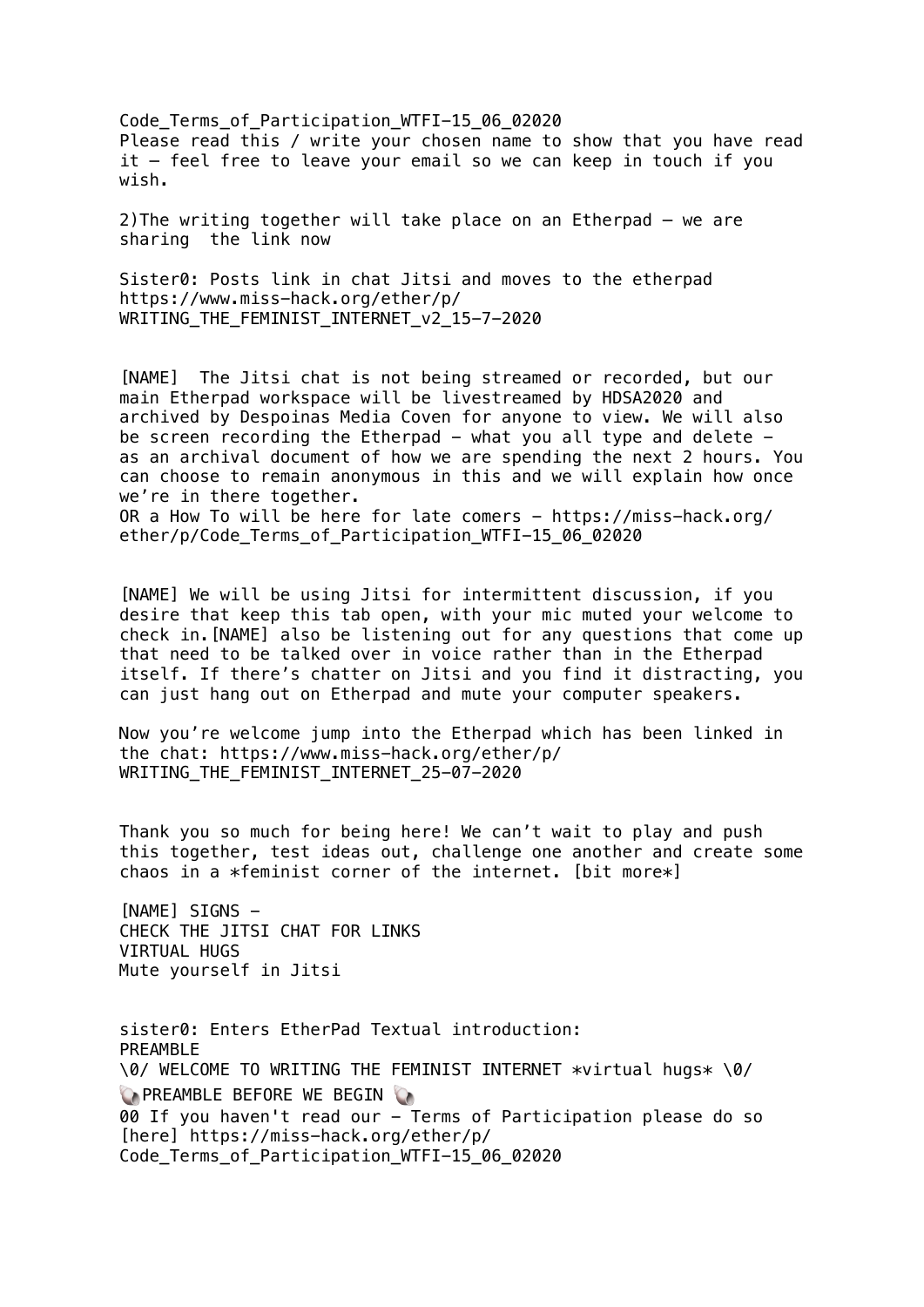Code Terms of Participation WTFI-15 06 02020 Please read this / write your chosen name to show that you have read it – feel free to leave your email so we can keep in touch if you wish.

2)The writing together will take place on an Etherpad – we are sharing the link now

Sister0: Posts link in chat Jitsi and moves to the etherpad https://www.miss-hack.org/ether/p/ WRITING\_THE\_FEMINIST\_INTERNET\_v2\_15-7-2020

[NAME] The Jitsi chat is not being streamed or recorded, but our main Etherpad workspace will be livestreamed by HDSA2020 and archived by Despoinas Media Coven for anyone to view. We will also be screen recording the Etherpad  $-$  what you all type and delete  $$ as an archival document of how we are spending the next 2 hours. You can choose to remain anonymous in this and we will explain how once we're in there together. OR a How To will be here for late comers - https://miss-hack.org/ ether/p/Code Terms of Participation WTFI-15 06 02020

[NAME] We will be using Jitsi for intermittent discussion, if you desire that keep this tab open, with your mic muted your welcome to check in.[NAME] also be listening out for any questions that come up that need to be talked over in voice rather than in the Etherpad itself. If there's chatter on Jitsi and you find it distracting, you can just hang out on Etherpad and mute your computer speakers.

Now you're welcome jump into the Etherpad which has been linked in the chat: https://www.miss-hack.org/ether/p/ WRITING THE FEMINIST INTERNET 25-07-2020

Thank you so much for being here! We can't wait to play and push this together, test ideas out, challenge one another and create some chaos in a \*feminist corner of the internet. [bit more\*]

[NAME] STGNS -CHECK THE JITSI CHAT FOR LINKS VIRTUAL HUGS Mute yourself in Jitsi

sister0: Enters EtherPad Textual introduction: PREAMBLE \0/ WELCOME TO WRITING THE FEMINIST INTERNET \*virtual hugs\* \0/ **COPREAMBLE BEFORE WE BEGIN CO** 00 If you haven't read our - Terms of Participation please do so [here] https://miss-hack.org/ether/p/ Code Terms of Participation WTFI-15 06 02020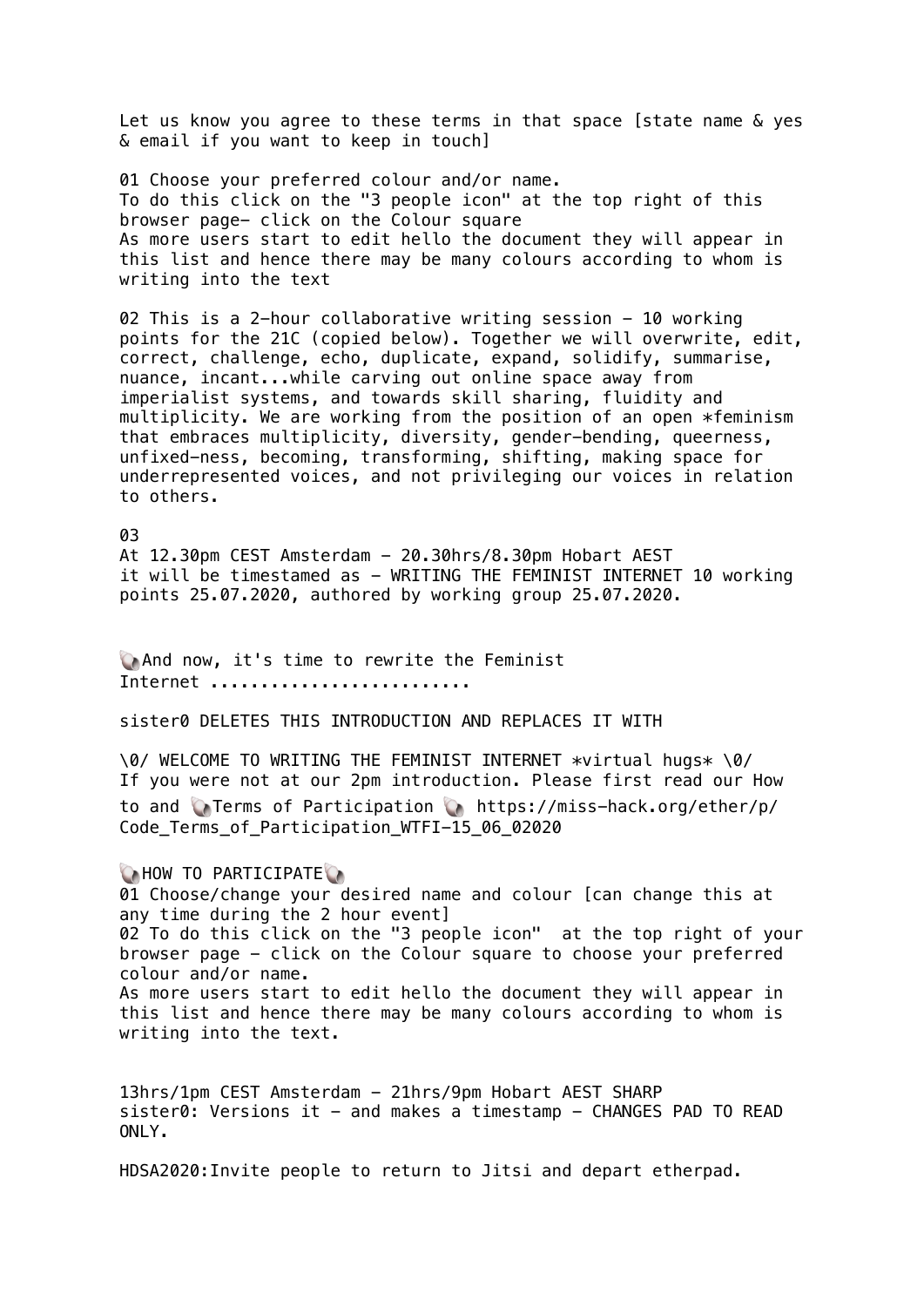Let us know you agree to these terms in that space [state name & yes & email if you want to keep in touch]

01 Choose your preferred colour and/or name. To do this click on the "3 people icon" at the top right of this browser page- click on the Colour square As more users start to edit hello the document they will appear in this list and hence there may be many colours according to whom is writing into the text

02 This is a 2-hour collaborative writing session - 10 working points for the 21C (copied below). Together we will overwrite, edit, correct, challenge, echo, duplicate, expand, solidify, summarise, nuance, incant...while carving out online space away from imperialist systems, and towards skill sharing, fluidity and multiplicity. We are working from the position of an open \*feminism that embraces multiplicity, diversity, gender-bending, queerness, unfixed-ness, becoming, transforming, shifting, making space for underrepresented voices, and not privileging our voices in relation to others.

03 At 12.30pm CEST Amsterdam - 20.30hrs/8.30pm Hobart AEST it will be timestamed as - WRITING THE FEMINIST INTERNET 10 working points 25.07.2020, authored by working group 25.07.2020.

And now, it's time to rewrite the Feminist Internet ..........................

sister0 DELETES THIS INTRODUCTION AND REPLACES IT WITH

\0/ WELCOME TO WRITING THE FEMINIST INTERNET \*virtual hugs\* \0/ If you were not at our 2pm introduction. Please first read our How to and Terms of Participation https://miss-hack.org/ether/p/ Code Terms of Participation WTFI-15 06 02020

**CHOW TO PARTICIPATE** 01 Choose/change your desired name and colour [can change this at any time during the 2 hour event] 02 To do this click on the "3 people icon" at the top right of your browser page - click on the Colour square to choose your preferred colour and/or name. As more users start to edit hello the document they will appear in this list and hence there may be many colours according to whom is writing into the text.

13hrs/1pm CEST Amsterdam - 21hrs/9pm Hobart AEST SHARP  $sister0: Versions$  it - and makes a timestamp - CHANGES PAD TO READ ONLY.

HDSA2020:Invite people to return to Jitsi and depart etherpad.